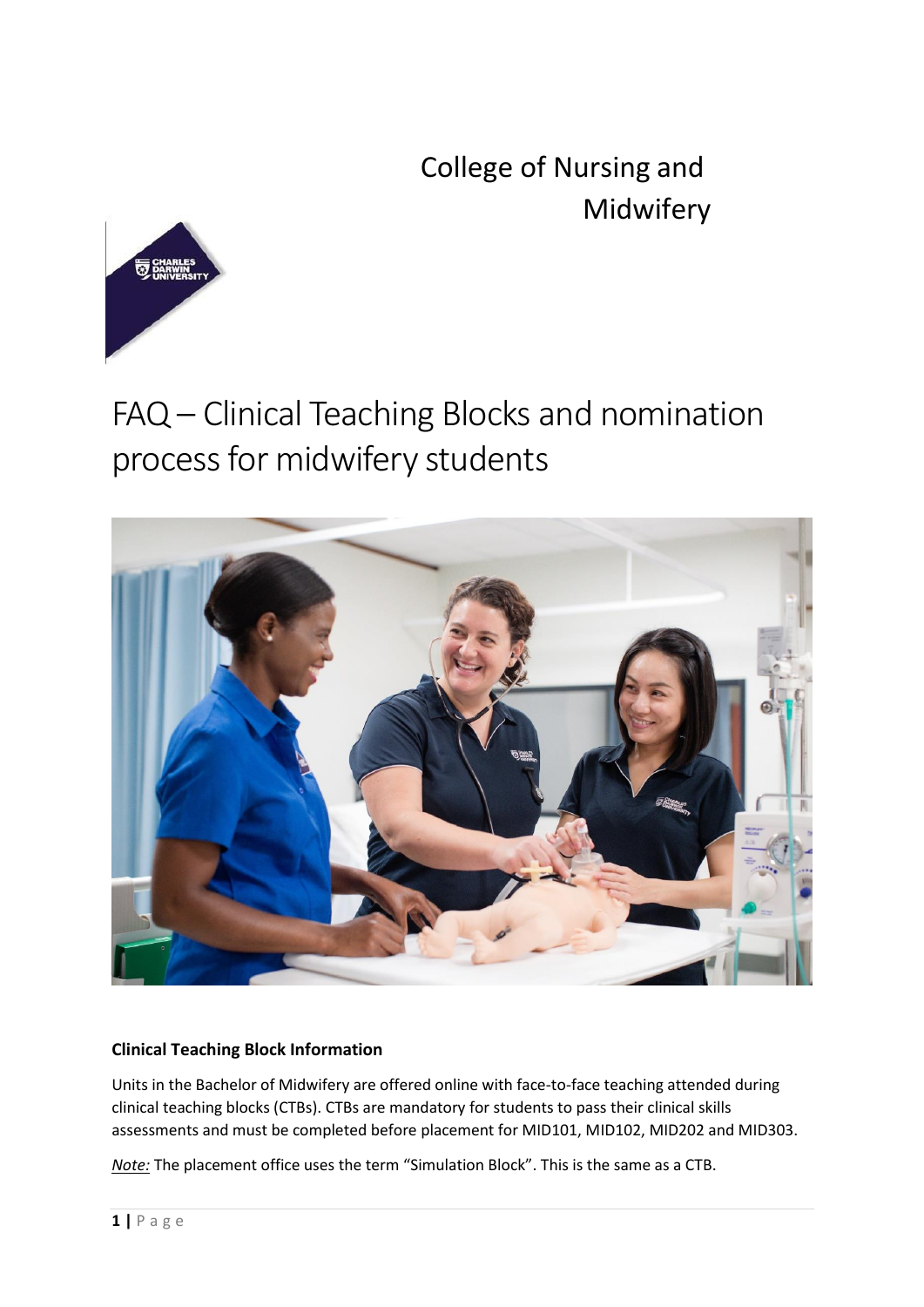College of Nursing and Midwifery



## FAQ – Clinical Teaching Blocks and nomination process for midwifery students



## **Clinical Teaching Block Information**

Units in the Bachelor of Midwifery are offered online with face-to-face teaching attended during clinical teaching blocks (CTBs). CTBs are mandatory for students to pass their clinical skills assessments and must be completed before placement for MID101, MID102, MID202 and MID303.

*Note:* The placement office uses the term "Simulation Block". This is the same as a CTB.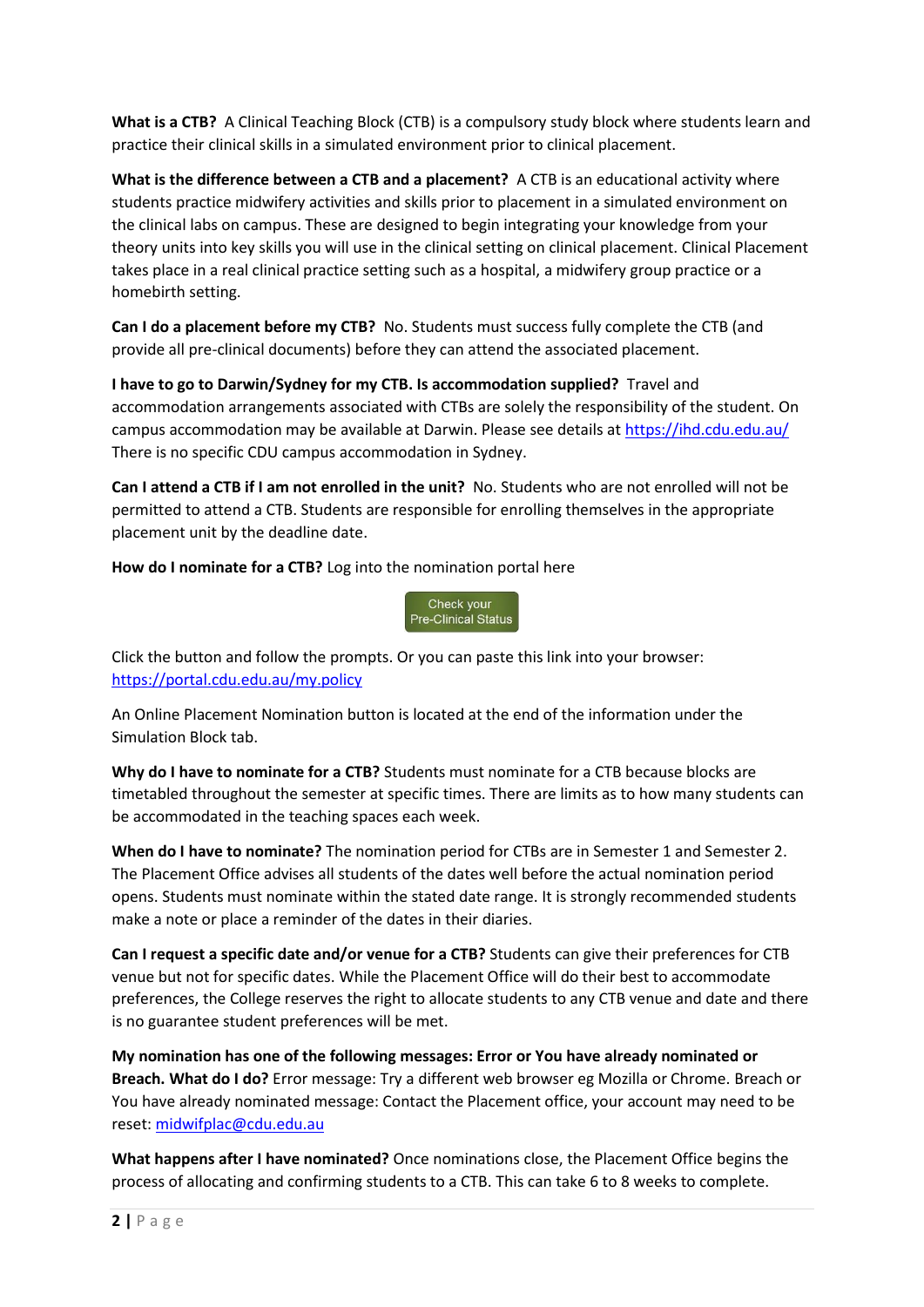**What is a CTB?** A Clinical Teaching Block (CTB) is a compulsory study block where students learn and practice their clinical skills in a simulated environment prior to clinical placement.

**What is the difference between a CTB and a placement?** A CTB is an educational activity where students practice midwifery activities and skills prior to placement in a simulated environment on the clinical labs on campus. These are designed to begin integrating your knowledge from your theory units into key skills you will use in the clinical setting on clinical placement. Clinical Placement takes place in a real clinical practice setting such as a hospital, a midwifery group practice or a homebirth setting.

**Can I do a placement before my CTB?** No. Students must success fully complete the CTB (and provide all pre-clinical documents) before they can attend the associated placement.

**I have to go to Darwin/Sydney for my CTB. Is accommodation supplied?** Travel and accommodation arrangements associated with CTBs are solely the responsibility of the student. On campus accommodation may be available at Darwin. Please see details a[t https://ihd.cdu.edu.au/](https://ihd.cdu.edu.au/) There is no specific CDU campus accommodation in Sydney.

**Can I attend a CTB if I am not enrolled in the unit?** No. Students who are not enrolled will not be permitted to attend a CTB. Students are responsible for enrolling themselves in the appropriate placement unit by the deadline date.

**How do I nominate for a CTB?** Log into the nomination portal here



Click the button and follow the prompts. Or you can paste this link into your browser: <https://portal.cdu.edu.au/my.policy>

An Online Placement Nomination button is located at the end of the information under the Simulation Block tab.

**Why do I have to nominate for a CTB?** Students must nominate for a CTB because blocks are timetabled throughout the semester at specific times. There are limits as to how many students can be accommodated in the teaching spaces each week.

**When do I have to nominate?** The nomination period for CTBs are in Semester 1 and Semester 2. The Placement Office advises all students of the dates well before the actual nomination period opens. Students must nominate within the stated date range. It is strongly recommended students make a note or place a reminder of the dates in their diaries.

**Can I request a specific date and/or venue for a CTB?** Students can give their preferences for CTB venue but not for specific dates. While the Placement Office will do their best to accommodate preferences, the College reserves the right to allocate students to any CTB venue and date and there is no guarantee student preferences will be met.

**My nomination has one of the following messages: Error or You have already nominated or Breach. What do I do?** Error message: Try a different web browser eg Mozilla or Chrome. Breach or You have already nominated message: Contact the Placement office, your account may need to be reset: [midwifplac@cdu.edu.au](mailto:midwifplac@cdu.edu.au)

**What happens after I have nominated?** Once nominations close, the Placement Office begins the process of allocating and confirming students to a CTB. This can take 6 to 8 weeks to complete.